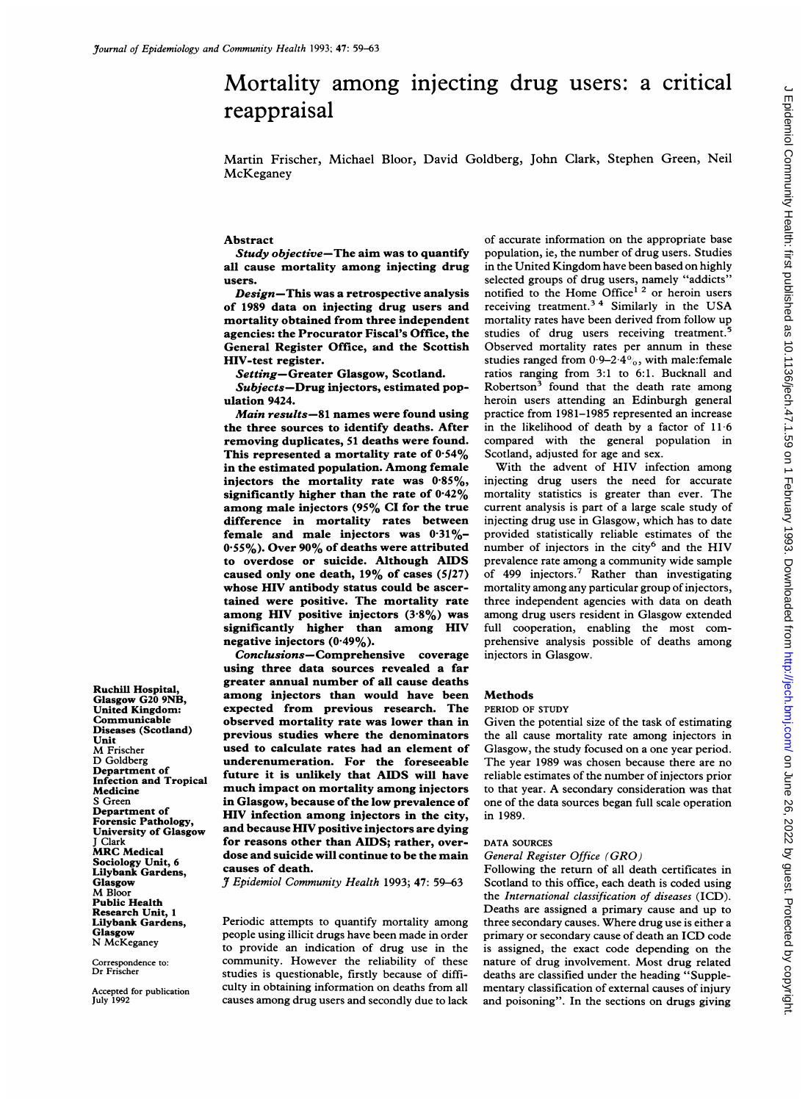# Mortality among injecting drug users: a critical reappraisal

Martin Frischer, Michael Bloor, David Goldberg, John Clark, Stephen Green, Neil McKeganey

#### Abstract

Study objective-The aim was to quantify all cause mortality among injecting drug users.

Design-This was a retrospective analysis of 1989 data on injecting drug users and mortality obtained from three independent agencies: the Procurator Fiscal's Office, the General Register Office, and the Scottish HIV-test register.

Setting-Greater Glasgow, Scotland.

Subjects-Drug injectors, estimated population 9424.

Main results-81 names were found using the three sources to identify deaths. After removing duplicates, 51 deaths were found. This represented a mortality rate of  $0.54\%$ in the estimated population. Among female injectors the mortality rate was  $0.85\%$ , significantly higher than the rate of  $0.42\%$ among male injectors (95% CI for the true difference in mortality rates between female and male injectors was  $0.31\%$ - $0.55\%$ ). Over 90% of deaths were attributed to overdose or suicide. Although AIDS caused only one death,  $19\%$  of cases (5/27) whose HIV antibody status could be ascertained were positive. The mortality rate among HIV positive injectors  $(3.8\%)$  was significantly higher than among HIV negative injectors  $(0.49\%)$ .

Conclusions-Comprehensive coverage using three data sources revealed a far greater annual number of all cause deaths among injectors than would have been expected from previous research. The observed mortality rate was lower than in previous studies where the denominators used to calculate rates had an element of underenumeration. For the foreseeable future it is unlikely that AIDS will have much impact on mortality among injectors in Glasgow, because of the low prevalence of HIV infection among injectors in the city, and because HIV positive injectors are dying for reasons other than AIDS; rather, overdose and suicide will continue to be the main causes of death.

J Epidemiol Community Health 1993; 47: 59-63

Periodic attempts to quantify mortality among people using illicit drugs have been made in order to provide an indication of drug use in the community. However the reliability of these studies is questionable, firstly because of difficulty in obtaining information on deaths from all causes among drug users and secondly due to lack

of accurate information on the appropriate base population, ie, the number of drug users. Studies in the United Kingdom have been based on highly selected groups of drug users, namely "addicts" notified to the Home Office<sup>12</sup> or heroin users receiving treatment.<sup>34</sup> Similarly in the USA mortality rates have been derived from follow up studies of drug users receiving treatment.<sup>5</sup> Observed mortality rates per annum in these studies ranged from  $0.9-2.4\%$ , with male:female ratios ranging from 3:1 to 6:1. Bucknall and Robertson<sup>3</sup> found that the death rate among heroin users attending an Edinburgh general practice from 1981-1985 represented an increase in the likelihood of death by a factor of 11 6 compared with the general population in Scotland, adjusted for age and sex.

With the advent of HIV infection among injecting drug users the need for accurate mortality statistics is greater than ever. The current analysis is part of a large scale study of injecting drug use in Glasgow, which has to date provided statistically reliable estimates of the number of injectors in the city<sup>6</sup> and the HIV prevalence rate among a community wide sample of 499 injectors.7 Rather than investigating mortality among any particular group of injectors, three independent agencies with data on death among drug users resident in Glasgow extended full cooperation, enabling the most comprehensive analysis possible of deaths among injectors in Glasgow.

#### Methods

#### PERIOD OF STUDY

Given the potential size of the task of estimating the all cause mortality rate among injectors in Glasgow, the study focused on a one year period. The year 1989 was chosen because there are no reliable estimates of the number of injectors prior to that year. A secondary consideration was that one of the data sources began full scale operation in 1989.

## DATA SOURCES

#### General Register Office (GRO)

Following the return of all death certificates in Scotland to this office, each death is coded using the International classification of diseases (ICD). Deaths are assigned a primary cause and up to three secondary causes. Where drug use is either a primary or secondary cause of death an ICD code is assigned, the exact code depending on the nature of drug involvement. Most drug related deaths are classified under the heading "Supplementary classification of extemal causes of injury and poisoning". In the sections on drugs giving

Glasgow G20 9NB, United Kingdom: Communicable Diseases (Scotland) Unit M Frischer D Goldberg Department of Infection and Tropical Medicine S Green Department of Forensic Pathology, University of Glasgow J Clark MRC Medical Sociology Unit, 6 Lilybank Gardens, Glasgow M Bloor Public Health Research Unit, <sup>1</sup> Lilybank Gardens, Glasgow N McKeganey

Ruchill Hospital,

Correspondence to: Dr Frischer

Accepted for publication July 1992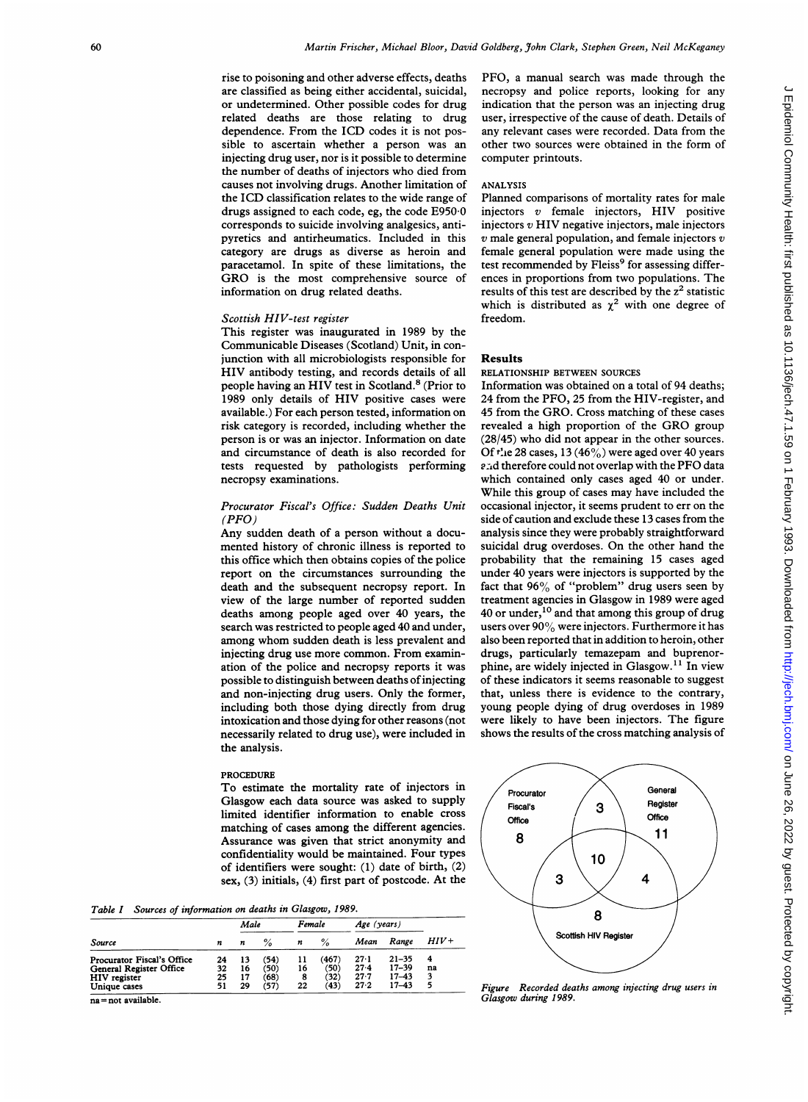rise to poisoning and other adverse effects, deaths are classified as being either accidental, suicidal, or undetermined. Other possible codes for drug related deaths are those relating to drug dependence. From the ICD codes it is not possible to ascertain whether a person was an injecting drug user, nor is it possible to determine the number of deaths of injectors who died from causes not involving drugs. Another limitation of the ICD classification relates to the wide range of drugs assigned to each code, eg, the code E950-0 corresponds to suicide involving analgesics, antipyretics and antirheumatics. Included in this category are drugs as diverse as heroin and paracetamol. In spite of these limitations, the GRO is the most comprehensive source of information on drug related deaths.

# Scottish HIV-test register

This register was inaugurated in 1989 by the Communicable Diseases (Scotland) Unit, in conjunction with all microbiologists responsible for HIV antibody testing, and records details of all people having an HIV test in Scotland.<sup>8</sup> (Prior to 1989 only details of HIV positive cases were available.) For each person tested, information on risk category is recorded, including whether the person is or was an injector. Information on date and circumstance of death is also recorded for tests requested by pathologists performing necropsy examinations.

# Procurator Fiscal's Office: Sudden Deaths Unit  $(PFO)$

Any sudden death of a person without <sup>a</sup> documented history of chronic illness is reported to this office which then obtains copies of the police report on the circumstances surrounding the death and the subsequent necropsy report. In view of the large number of reported sudden deaths among people aged over 40 years, the search was restricted to people aged 40 and under, among whom sudden death is less prevalent and injecting drug use more common. From examination of the police and necropsy reports it was possible to distinguish between deaths of injecting and non-injecting drug users. Only the former, including both those dying directly from drug intoxication and those dying for other reasons (not necessarily related to drug use), were included in the analysis.

#### PROCEDURE

To estimate the mortality rate of injectors in Glasgow each data source was asked to supply limited identifier information to enable cross matching of cases among the different agencies. Assurance was given that strict anonymity and confidentiality would be maintained. Four types of identifiers were sought: (1) date of birth, (2) sex, (3) initials, (4) first part of postcode. At the

Table I Sources of information on deaths in Glasgow, 1989.

|                                |    | Male |      | Female |       | Age (years) |           |        |
|--------------------------------|----|------|------|--------|-------|-------------|-----------|--------|
| Source                         | n  | n    | %    | n      | $\%$  | Mean        | Range     | $HIV+$ |
| Procurator Fiscal's Office     | 24 | 13   | (54) | 11     | (467) | 27.1        | $21 - 35$ | 4      |
| <b>General Register Office</b> | 32 | 16   | (50) | 16     | (50)  | 27.4        | 17-39     | na     |
| HIV register                   | 25 | 17   | (68) | 8      | (32)  | $27-7$      | $17 - 43$ | 3      |
| Unique cases                   | 51 | 29   | (57) | 22     | (43)  | 27.2        | $17 - 43$ | 5      |

na = not available.

PFO, <sup>a</sup> manual search was made through the necropsy and police reports, looking for any indication that the person was an injecting drug user, irrespective of the cause of death. Details of any relevant cases were recorded. Data from the other two sources were obtained in the form of computer printouts.

### ANALYSIS

Planned comparisons of mortality rates for male injectors <sup>v</sup> female injectors, HIV positive injectors  $v$  HIV negative injectors, male injectors  $v$  male general population, and female injectors  $v$ female general population were made using the test recommended by Fleiss<sup>9</sup> for assessing differences in proportions from two populations. The results of this test are described by the  $z<sup>2</sup>$  statistic which is distributed as  $\chi^2$  with one degree of freedom.

#### Results

RELATIONSHIP BETWEEN SOURCES

Information was obtained on a total of 94 deaths; 24 from the PFO, 25 from the HIV-register, and 45 from the GRO. Cross matching of these cases revealed <sup>a</sup> high proportion of the GRO group (28/45) who did not appear in the other sources. Of  $t^n$  e 28 cases, 13 (46%) were aged over 40 years and therefore could not overlap with the PFO data which contained only cases aged 40 or under. While this group of cases may have included the occasional injector, it seems prudent to err on the side of caution and exclude these 13 cases from the analysis since they were probably straightforward suicidal drug overdoses. On the other hand the probability that the remaining 15 cases aged under 40 years were injectors is supported by the fact that 96% of "problem" drug users seen by treatment agencies in Glasgow in 1989 were aged 40 or under,<sup>10</sup> and that among this group of drug users over <sup>90</sup>% were injectors. Furthermore it has also been reported that in addition to heroin, other drugs, particularly temazepam and buprenorphine, are widely injected in Glasgow.<sup>11</sup> In view of these indicators it seems reasonable to suggest that, unless there is evidence to the contrary, young people dying of drug overdoses in 1989 were likely to have been injectors. The figure shows the results of the cross matching analysis of



Figure Recorded deaths among injecting drug users in Glasgow during 1989.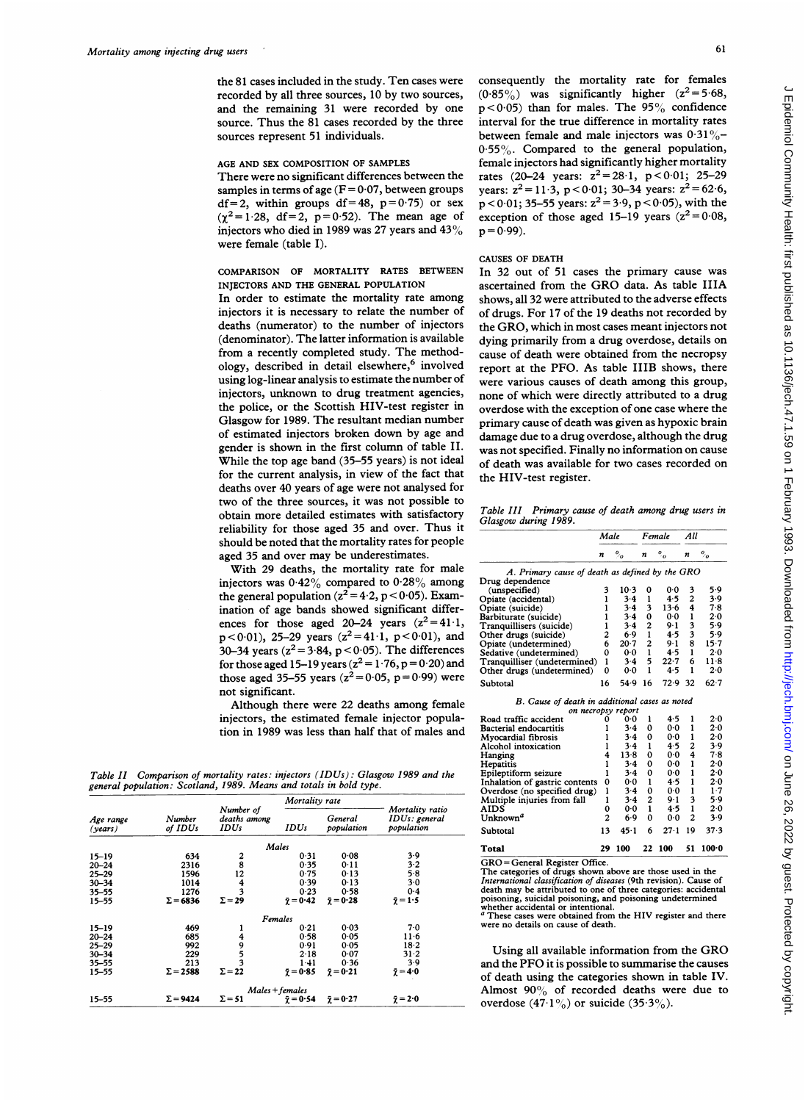the 81 cases included in the study. Ten cases were recorded by all three sources, 10 by two sources, and the remaining 31 were recorded by one source. Thus the 81 cases recorded by the three sources represent 51 individuals.

# AGE AND SEX COMPOSITION OF SAMPLES

There were no significant differences between the samples in terms of age  $(F = 0.07)$ , between groups df = 2, within groups df = 48,  $p = 0.75$  or sex  $(\chi^2 = 1.28, df = 2, p = 0.52)$ . The mean age of injectors who died in 1989 was 27 years and 43% were female (table I).

# COMPARISON OF MORTALITY RATES BETWEEN INJECTORS AND THE GENERAL POPULATION

In order to estimate the mortality rate among injectors it is necessary to relate the number of deaths (numerator) to the number of injectors (denominator). The latter information is available from <sup>a</sup> recently completed study. The methodology, described in detail elsewhere,<sup>6</sup> involved using log-linear analysis to estimate the number of injectors, unknown to drug treatment agencies, the police, or the Scottish HIV-test register in Glasgow for 1989. The resultant median number of estimated injectors broken down by age and gender is shown in the first column of table II. While the top age band (35-55 years) is not ideal for the current analysis, in view of the fact that deaths over 40 years of age were not analysed for two of the three sources, it was not possible to obtain more detailed estimates with satisfactory reliability for those aged 35 and over. Thus it should be noted that the mortality rates for people aged 35 and over may be underestimates.

With 29 deaths, the mortality rate for male injectors was  $0.42\%$  compared to  $0.28\%$  among the general population ( $z^2 = 4.2$ ,  $p < 0.05$ ). Examination of age bands showed significant differences for those aged 20-24 years  $(z^2 = 41.1,$  $p < 0.01$ ), 25-29 years ( $z^2 = 41.1$ ,  $p < 0.01$ ), and 30-34 years ( $z^2 = 3.84$ ,  $p < 0.05$ ). The differences for those aged 15-19 years ( $z^2 = 1.76$ ,  $p = 0.20$ ) and those aged 35–55 years ( $z^2 = 0.05$ , p = 0.99) were not significant.

Although there were 22 deaths among female injectors, the estimated female injector population in 1989 was less than half that of males and

Table II Comparison of mortality rates: injectors (IDUs): Glasgow 1989 and the general population: Scotland, 1989. Means and totals in bold type.

|                      |                   |                                   | Mortality rate        |                       |                                                |  |
|----------------------|-------------------|-----------------------------------|-----------------------|-----------------------|------------------------------------------------|--|
| Age range<br>(years) | Number<br>of IDUs | Number of<br>deaths among<br>IDUs |                       | General<br>population | Mortality ratio<br>IDUs: general<br>population |  |
|                      |                   |                                   | Males                 |                       |                                                |  |
| $15 - 19$            | 634               |                                   | 0.31                  | 0.08                  | 39                                             |  |
| $20 - 24$            | 2316              | $\frac{2}{8}$                     | 0.35                  | 0:11                  | 3.2                                            |  |
| $25 - 29$            | 1596              | 12                                | 0.75                  | 0.13                  | 58                                             |  |
| $30 - 34$            | 1014              | 4                                 | 0.39                  | 013                   | 3·0                                            |  |
| $35 - 55$            | 1276              | 3                                 | 0.23                  | 0.58                  | 0.4                                            |  |
| $15 - 55$            | $\Sigma$ = 6836   | $\Sigma = 29$                     | $\bar{\gamma} = 0.42$ | $\bar{\chi} = 0.28$   | $\bar{\gamma} = 1.5$                           |  |
|                      |                   |                                   | Females               |                       |                                                |  |
| $15 - 19$            | 469               | ı                                 | 0.21                  | 0.03                  | 70                                             |  |
| $20 - 24$            | 685               |                                   | 0.58                  | 0.05                  | $11-6$                                         |  |
| $25 - 29$            | 992               |                                   | 0.91                  | 0.05                  | 18.2                                           |  |
| $30 - 34$            | 229               | 4953                              | 2.18                  | 0.07                  | $31 - 2$                                       |  |
| $35 - 55$            | 213               |                                   | 141                   | 0.36                  | 3.9                                            |  |
| $15 - 55$            | $\Sigma = 2588$   | $\Sigma = 22$                     | $\bar{y} = 0.85$      | $\bar{\gamma} = 0.21$ | $\bar{\chi} = 4.0$                             |  |
|                      |                   |                                   | Males + females       |                       |                                                |  |
| $15 - 55$            | $\Sigma = 9424$   | $\Sigma = 51$                     | $\bar{y} = 0.54$      | $\bar{\chi} = 0.27$   | $\bar{\chi} = 2.0$                             |  |

consequently the mortality rate for females  $(0.85\%)$  was significantly higher  $(z^2=5.68,$  $p < 0.05$ ) than for males. The 95% confidence interval for the true difference in mortality rates between female and male injectors was  $0.31\%$ -0.55%. Compared to the general population, female injectors had significantly higher mortality rates (20-24 years:  $z^2 = 28.1$ ,  $p < 0.01$ ; 25-29 years:  $z^2 = 11.3$ , p < 0.01; 30-34 years:  $z^2 = 62.6$ ,  $p < 0.01$ ; 35–55 years:  $z^2 = 3.9$ ,  $p < 0.05$ ), with the exception of those aged 15-19 years  $(z^2 = 0.08,$  $p = 0.99$ ).

# CAUSES OF DEATH

In 32 out of 51 cases the primary cause was ascertained from the GRO data. As table IIIA shows, all 32 were attributed to the adverse effects of drugs. For 17 of the 19 deaths not recorded by the GRO, which in most cases meant injectors not dying primarily from <sup>a</sup> drug overdose, details on cause of death were obtained from the necropsy report at the PFO. As table IIIB shows, there were various causes of death among this group, none of which were directly attributed to a drug overdose with the exception of one case where the primary cause of death was given as hypoxic brain damage due to a drug overdose, although the drug was not specified. Finally no information on cause of death was available for two cases recorded on the HIV-test register.

Table III Primary cause of death among drug users in Glasgow during 1989.

| $\frac{1}{2}$<br>10.3<br>$3-4$<br>3.4 | n<br>0<br>ı | $\cdot$ .<br>A. Primary cause of death as defined by the GRO<br>00<br>45 | n<br>3<br>$\mathbf{2}$ | $\frac{6}{10}$<br>5.9<br>3.9                         |
|---------------------------------------|-------------|--------------------------------------------------------------------------|------------------------|------------------------------------------------------|
|                                       |             |                                                                          |                        |                                                      |
|                                       |             |                                                                          |                        |                                                      |
|                                       |             |                                                                          |                        |                                                      |
|                                       |             |                                                                          |                        |                                                      |
|                                       |             |                                                                          |                        |                                                      |
|                                       | 3           | $13-6$                                                                   | 4                      | 7.8                                                  |
| $3-4$                                 | 0           | 0.0                                                                      | ı                      | $2-0$                                                |
| 3.4                                   | 2           | 9.1                                                                      | 3                      | 5.9                                                  |
| 6.9                                   | 1           | 4.5                                                                      | 3                      | 5.9                                                  |
| $20-7$                                | 2           | $9 - 1$                                                                  | 8                      | $15-7$                                               |
| 00                                    |             | 4.5                                                                      | ı                      | 2.0                                                  |
| $3-4$                                 | 5           | 22.7                                                                     | 6                      | 118                                                  |
| 00                                    | ı           | 4.5                                                                      | 1                      | 2.0                                                  |
| 54.9                                  | 16          | 72.9                                                                     | 32                     | 62.7                                                 |
|                                       |             | ı                                                                        |                        | <b>B</b> Cause of death in additional cases as noted |

B. Cause of death in additional cases as noted

| on necropsy report             |                |          |   |         |    |       |
|--------------------------------|----------------|----------|---|---------|----|-------|
| Road traffic accident          |                | 00       | ı | 4.5     | 1  | 2.0   |
| <b>Bacterial endocartitis</b>  |                | 3.4      | 0 | 0.0     |    | 2.0   |
| Myocardial fibrosis            |                | $3-4$    | 0 | 00      | ı  | 2.0   |
| Alcohol intoxication           |                | $3-4$    |   | 4.5     | 2  | 3.9   |
| Hanging                        | 4              | $13-8$   | 0 | 0.0     | 4  | 7.8   |
| Hepatitis                      |                | $3-4$    | 0 | $0-0$   | ı  | 2.0   |
| Epileptiform seizure           |                | $3-4$    | 0 | 0.0     | ı  | 2.0   |
| Inhalation of gastric contents | 0              | 0.0      | ı | 4.5     | 1  | 2.0   |
| Overdose (no specified drug)   | ı              | $3-4$    | 0 | 0.0     | 1  | $1-7$ |
| Multiple injuries from fall    |                | $3-4$    | 2 | $9 - 1$ | 3  | 5.9   |
| AIDS                           | 0              | 0.0      | 1 | 4.5     | 1  | 2.0   |
| Unknown <sup>a</sup>           | $\overline{2}$ | 6.9      | 0 | 0.0     | 2  | 3.9   |
| Subtotal                       | 13             | $45 - 1$ | 6 | $27-1$  | 19 | 37.3  |
| Total                          | 29             | 100      |   | 22 100  | 51 | 100.0 |

GRO = General Register Office.

The categories of drugs shown above are those used in the International classification of diseases (9th revision). Cause of death may be attributed to one of three categories: accidental poisoning, suicidal poisoning, and poisoning undetermined whether accidental or intentional.

These cases were obtained from the HIV register and there were no details on cause of death.

Using all available information from the GRO and the PFO it is possible to summarise the causes of death using the categories shown in table IV. Almost 90% of recorded deaths were due to overdose  $(47.1\%)$  or suicide  $(35.3\%).$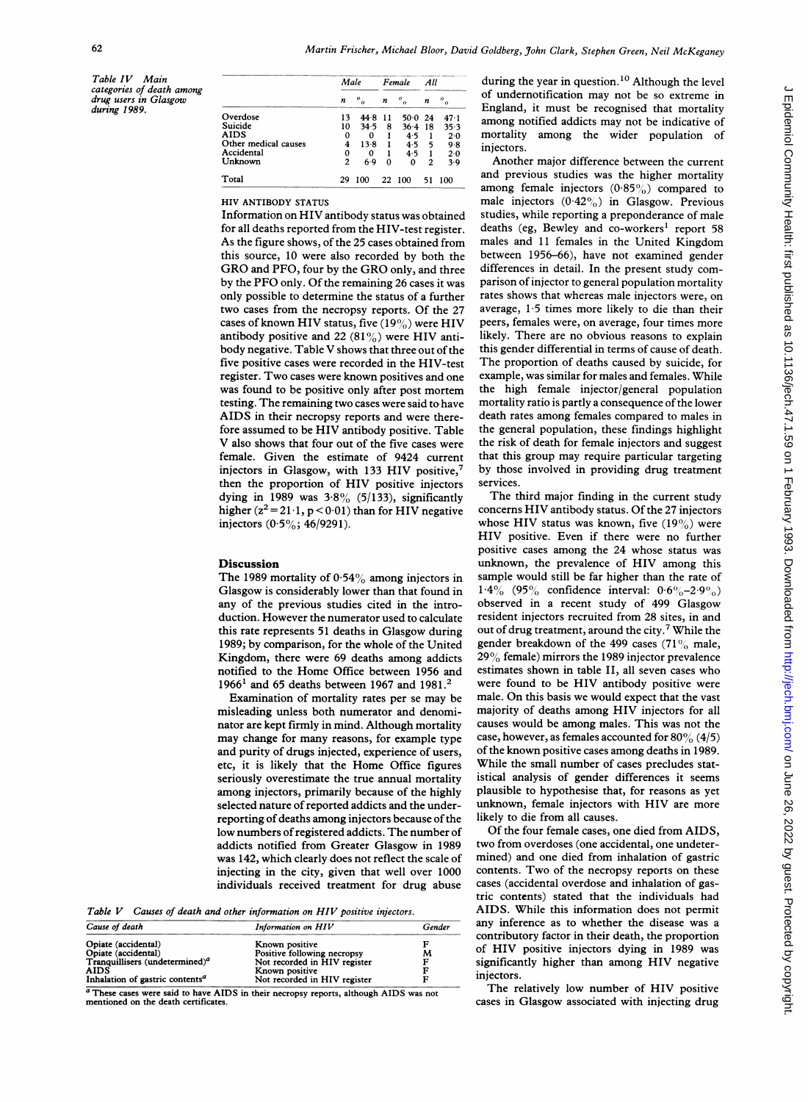Table IV Main categories of death among drug users in Glasgow during 1989.

|                      | Male                    |                               | Female |                         | All |         |
|----------------------|-------------------------|-------------------------------|--------|-------------------------|-----|---------|
|                      | n                       | $\mathfrak{o}_{\mathfrak{o}}$ | n      | $\mathfrak{o}_{\alpha}$ | n   | 0<br>70 |
| Overdose             | 13                      | 44.8                          | -11    | 50 0                    | -24 | 47.1    |
| Suicide              | 10                      | 34.5                          | 8      | 36.4                    | 18  | 35.3    |
| <b>AIDS</b>          | 0                       | 0                             |        | 4.5                     |     | 2.0     |
| Other medical causes | 4                       | $13-8$                        |        | 4.5                     | 5   | 9.8     |
| Accidental           | 0                       | 0                             |        | 4.5                     |     | 2.0     |
| Unknown              | $\overline{\mathbf{c}}$ | 6.9                           | Ω      | 0                       | 2   | 3.9     |
| Total                | 20                      | 100                           |        | 22 100                  | 51  | 100     |

HIV ANTIBODY STATUS

Information on HIV antibody status was obtained for all deaths reported from the HIV-test register. As the figure shows, of the 25 cases obtained from this source, 10 were also recorded by both the GRO and PFO, four by the GRO only, and three by the PFO only. Of the remaining 26 cases it was only possible to determine the status of a further two cases from the necropsy reports. Of the 27 cases of known HIV status, five  $(19\%)$  were HIV antibody positive and 22  $(81\%)$  were HIV antibody negative. Table V shows that three out of the five positive cases were recorded in the HIV-test register. Two cases were known positives and one was found to be positive only after post mortem testing. The remaining two cases were said to have AIDS in their necropsy reports and were therefore assumed to be HIV antibody positive. Table V also shows that four out of the five cases were female. Given the estimate of 9424 current injectors in Glasgow, with 133 HIV positive,<sup>7</sup> then the proportion of HIV positive injectors dying in 1989 was  $3.8\%$  (5/133), significantly higher  $(z^2 = 21.1, p < 0.01)$  than for HIV negative injectors  $(0.5\%; 46/9291)$ .

# Discussion

The 1989 mortality of  $0.54\%$  among injectors in Glasgow is considerably lower than that found in any of the previous studies cited in the introduction. However the numerator used to calculate this rate represents 51 deaths in Glasgow during 1989; by comparison, for the whole of the United Kingdom, there were 69 deaths among addicts notified to the Home Office between 1956 and 1966<sup>1</sup> and 65 deaths between 1967 and 1981.<sup>2</sup>

Examination of mortality rates per se may be misleading unless both numerator and denominator are kept firmly in mind. Although mortality may change for many reasons, for example type and purity of drugs injected, experience of users, etc, it is likely that the Home Office figures seriously overestimate the true annual mortality among injectors, primarily because of the highly selected nature of reported addicts and the underreporting of deaths among injectors because of the low numbers of registered addicts. The number of addicts notified from Greater Glasgow in 1989 was 142, which clearly does not reflect the scale of injecting in the city, given that well over 1000 individuals received treatment for drug abuse

Table V Causes of death and other information on HIV positive injectors.

| Cause of death                                    | Information on HIV           | Gender |  |
|---------------------------------------------------|------------------------------|--------|--|
| Opiate (accidental)                               | Known positive               |        |  |
| Opiate (accidental)                               | Positive following necropsy  | M      |  |
| Tranquillisers (undetermined) <sup><i>a</i></sup> | Not recorded in HIV register |        |  |
| <b>AIDS</b>                                       | Known positive               |        |  |
| Inhalation of gastric contents <sup>a</sup>       | Not recorded in HIV register |        |  |

<sup>a</sup> These cases were said to have AIDS in their necropsy reports, although AIDS was not mentioned on the death certificates

during the year in question.<sup>10</sup> Although the level of undernotification may not be so extreme in England, it must be recognised that mortality among notified addicts may not be indicative of mortality among the wider population of injectors.

Another major difference between the current and previous studies was the higher mortality among female injectors  $(0.85\%)$  compared to male injectors  $(0.42\%)$  in Glasgow. Previous studies, while reporting a preponderance of male deaths (eg, Bewley and co-workers' report 58 males and <sup>11</sup> females in the United Kingdom between 1956-66), have not examined gender differences in detail. In the present study comparison of injector to general population mortality rates shows that whereas male injectors were, on average, <sup>1</sup> 5 times more likely to die than their peers, females were, on average, four times more likely. There are no obvious reasons to explain this gender differential in terms of cause of death. The proportion of deaths caused by suicide, for example, was similar for males and females. While the high female injector/general population mortality ratio is partly a consequence of the lower death rates among females compared to males in the general population, these findings highlight the risk of death for female injectors and suggest that this group may require particular targeting by those involved in providing drug treatment services.

The third major finding in the current study concerns HIV antibody status. Of the 27 injectors whose HIV status was known, five  $(19\%)$  were HIV positive. Even if there were no further positive cases among the 24 whose status was unknown, the prevalence of HIV among this sample would still be far higher than the rate of  $1.4\%$  (95% confidence interval:  $0.6\%$ -2.9%) observed in a recent study of 499 Glasgow resident injectors recruited from 28 sites, in and out of drug treatment, around the city.7 While the gender breakdown of the 499 cases  $(71\%$  male,  $29\%$  female) mirrors the 1989 injector prevalence estimates shown in table II, all seven cases who were found to be HIV antibody positive were male. On this basis we would expect that the vast majority of deaths among HIV injectors for all causes would be among males. This was not the case, however, as females accounted for  $80\%$  (4/5) of the known positive cases among deaths in 1989. While the small number of cases precludes statistical analysis of gender differences it seems plausible to hypothesise that, for reasons as yet unknown, female injectors with HIV are more likely to die from all causes.

Of the four female cases, one died from AIDS, two from overdoses (one accidental, one undetermined) and one died from inhalation of gastric contents. Two of the necropsy reports on these cases (accidental overdose and inhalation of gastric contents) stated that the individuals had AIDS. While this information does not permit any inference as to whether the disease was a contributory factor in their death, the proportion of HIV positive injectors dying in 1989 was significantly higher than among HIV negative injectors.

The relatively low number of HIV positive cases in Glasgow associated with injecting drug